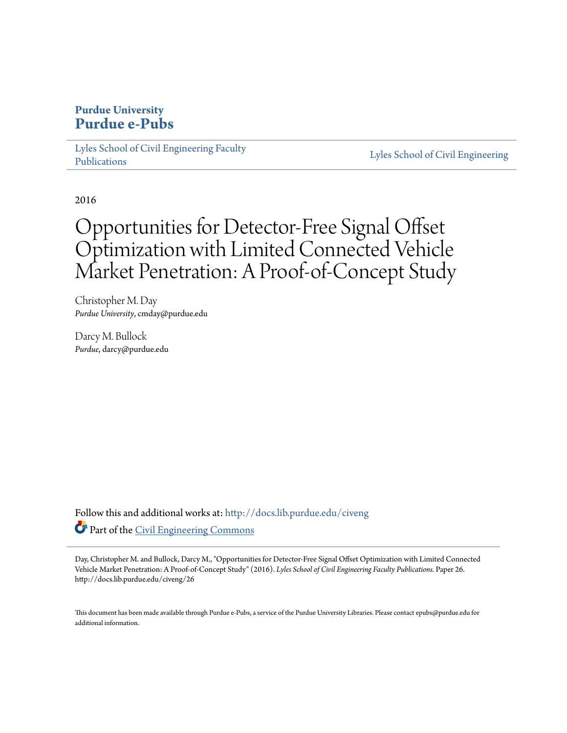### **Purdue University [Purdue e-Pubs](http://docs.lib.purdue.edu?utm_source=docs.lib.purdue.edu%2Fciveng%2F26&utm_medium=PDF&utm_campaign=PDFCoverPages)**

[Lyles School of Civil Engineering Faculty](http://docs.lib.purdue.edu/civeng?utm_source=docs.lib.purdue.edu%2Fciveng%2F26&utm_medium=PDF&utm_campaign=PDFCoverPages) [Publications](http://docs.lib.purdue.edu/civeng?utm_source=docs.lib.purdue.edu%2Fciveng%2F26&utm_medium=PDF&utm_campaign=PDFCoverPages)

[Lyles School of Civil Engineering](http://docs.lib.purdue.edu/civl?utm_source=docs.lib.purdue.edu%2Fciveng%2F26&utm_medium=PDF&utm_campaign=PDFCoverPages)

2016

# Opportunities for Detector-Free Signal Offset Optimization with Limited Connected Vehicle Market Penetration: A Proof-of-Concept Study

Christopher M. Day *Purdue University*, cmday@purdue.edu

Darcy M. Bullock *Purdue*, darcy@purdue.edu

Follow this and additional works at: [http://docs.lib.purdue.edu/civeng](http://docs.lib.purdue.edu/civeng?utm_source=docs.lib.purdue.edu%2Fciveng%2F26&utm_medium=PDF&utm_campaign=PDFCoverPages) Part of the [Civil Engineering Commons](http://network.bepress.com/hgg/discipline/252?utm_source=docs.lib.purdue.edu%2Fciveng%2F26&utm_medium=PDF&utm_campaign=PDFCoverPages)

Day, Christopher M. and Bullock, Darcy M., "Opportunities for Detector-Free Signal Offset Optimization with Limited Connected Vehicle Market Penetration: A Proof-of-Concept Study" (2016). *Lyles School of Civil Engineering Faculty Publications.* Paper 26. http://docs.lib.purdue.edu/civeng/26

This document has been made available through Purdue e-Pubs, a service of the Purdue University Libraries. Please contact epubs@purdue.edu for additional information.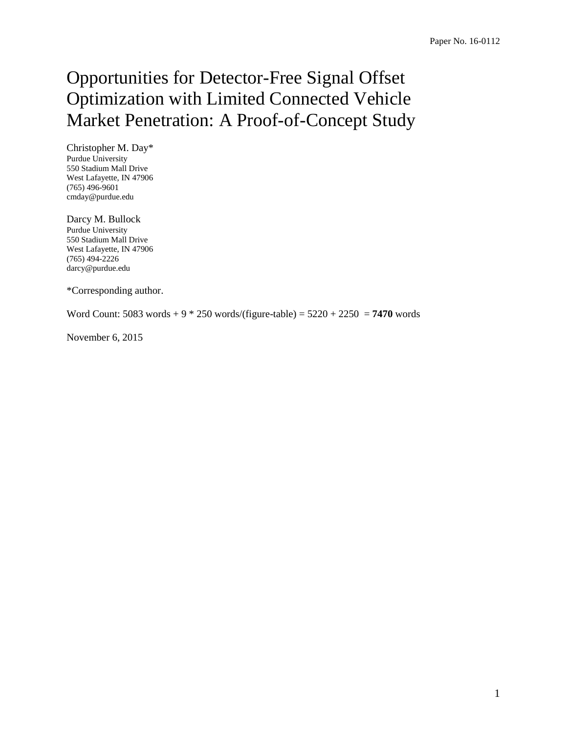# Opportunities for Detector-Free Signal Offset Optimization with Limited Connected Vehicle Market Penetration: A Proof-of-Concept Study

Christopher M. Day\* Purdue University 550 Stadium Mall Drive West Lafayette, IN 47906 (765) 496-9601 cmday@purdue.edu

Darcy M. Bullock Purdue University 550 Stadium Mall Drive West Lafayette, IN 47906 (765) 494-2226 darcy@purdue.edu

\*Corresponding author.

Word Count: 5083 words + 9 \* 250 words/(figure-table) = 5220 + 2250 = **7470** words

November 6, 2015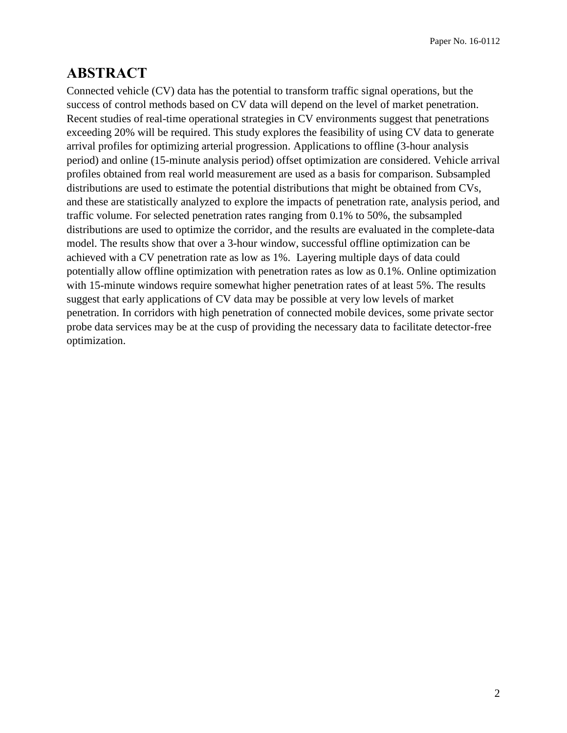## **ABSTRACT**

Connected vehicle (CV) data has the potential to transform traffic signal operations, but the success of control methods based on CV data will depend on the level of market penetration. Recent studies of real-time operational strategies in CV environments suggest that penetrations exceeding 20% will be required. This study explores the feasibility of using CV data to generate arrival profiles for optimizing arterial progression. Applications to offline (3-hour analysis period) and online (15-minute analysis period) offset optimization are considered. Vehicle arrival profiles obtained from real world measurement are used as a basis for comparison. Subsampled distributions are used to estimate the potential distributions that might be obtained from CVs, and these are statistically analyzed to explore the impacts of penetration rate, analysis period, and traffic volume. For selected penetration rates ranging from 0.1% to 50%, the subsampled distributions are used to optimize the corridor, and the results are evaluated in the complete-data model. The results show that over a 3-hour window, successful offline optimization can be achieved with a CV penetration rate as low as 1%. Layering multiple days of data could potentially allow offline optimization with penetration rates as low as 0.1%. Online optimization with 15-minute windows require somewhat higher penetration rates of at least 5%. The results suggest that early applications of CV data may be possible at very low levels of market penetration. In corridors with high penetration of connected mobile devices, some private sector probe data services may be at the cusp of providing the necessary data to facilitate detector-free optimization.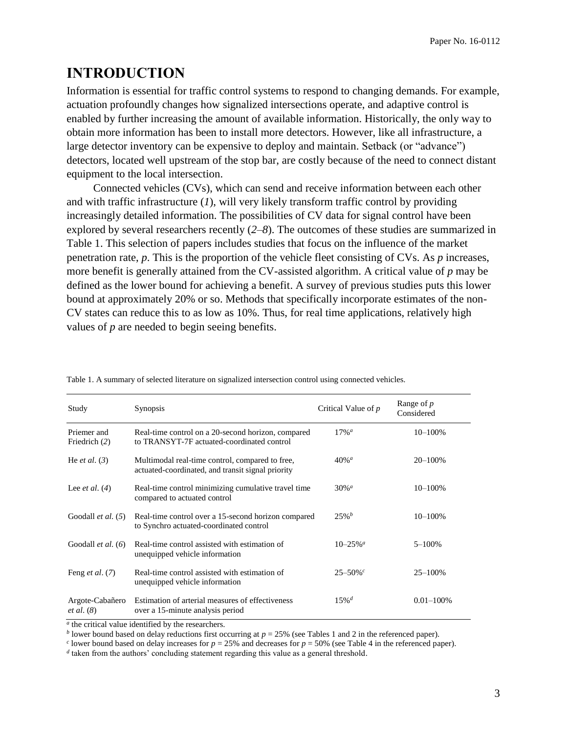# **INTRODUCTION**

Information is essential for traffic control systems to respond to changing demands. For example, actuation profoundly changes how signalized intersections operate, and adaptive control is enabled by further increasing the amount of available information. Historically, the only way to obtain more information has been to install more detectors. However, like all infrastructure, a large detector inventory can be expensive to deploy and maintain. Setback (or "advance") detectors, located well upstream of the stop bar, are costly because of the need to connect distant equipment to the local intersection.

Connected vehicles (CVs), which can send and receive information between each other and with traffic infrastructure (*[1](#page-20-0)*), will very likely transform traffic control by providing increasingly detailed information. The possibilities of CV data for signal control have been explored by several researchers recently (*[2–](#page-20-1)[8](#page-20-2)*). The outcomes of these studies are summarized in [Table 1.](#page-3-0) This selection of papers includes studies that focus on the influence of the market penetration rate, *p*. This is the proportion of the vehicle fleet consisting of CVs. As *p* increases, more benefit is generally attained from the CV-assisted algorithm. A critical value of *p* may be defined as the lower bound for achieving a benefit. A survey of previous studies puts this lower bound at approximately 20% or so. Methods that specifically incorporate estimates of the non-CV states can reduce this to as low as 10%. Thus, for real time applications, relatively high values of *p* are needed to begin seeing benefits.

| Study                         | <b>Synopsis</b>                                                                                      | Critical Value of $p$      | Range of $p$<br>Considered |
|-------------------------------|------------------------------------------------------------------------------------------------------|----------------------------|----------------------------|
| Priemer and<br>Friedrich (2)  | Real-time control on a 20-second horizon, compared<br>to TRANSYT-7F actuated-coordinated control     | $17\%$ <sup>a</sup>        | $10 - 100\%$               |
| He <i>et al.</i> $(3)$        | Multimodal real-time control, compared to free,<br>actuated-coordinated, and transit signal priority | $40\%$ <sup>a</sup>        | 20-100%                    |
| Lee <i>et al.</i> $(4)$       | Real-time control minimizing cumulative travel time<br>compared to actuated control                  | $30\%$ <sup><i>a</i></sup> | $10 - 100\%$               |
| Goodall <i>et al.</i> $(5)$   | Real-time control over a 15-second horizon compared<br>to Synchro actuated-coordinated control       | $25%^{b}$                  | $10 - 100\%$               |
| Goodall $et al. (6)$          | Real-time control assisted with estimation of<br>unequipped vehicle information                      | $10 - 25\%$ <sup>a</sup>   | $5 - 100\%$                |
| Feng <i>et al.</i> $(7)$      | Real-time control assisted with estimation of<br>unequipped vehicle information                      | $25 - 50\%$                | 25-100%                    |
| Argote-Cabañero<br>et al. (8) | Estimation of arterial measures of effectiveness<br>over a 15-minute analysis period                 | $15\%$ <sup>d</sup>        | $0.01 - 100\%$             |

<span id="page-3-0"></span>Table 1. A summary of selected literature on signalized intersection control using connected vehicles.

*a* the critical value identified by the researchers.

*b* lower bound based on delay reductions first occurring at  $p = 25\%$  (see Tables 1 and 2 in the referenced paper).

*c* lower bound based on delay increases for  $p = 25\%$  and decreases for  $p = 50\%$  (see Table 4 in the referenced paper).

*d* taken from the authors' concluding statement regarding this value as a general threshold.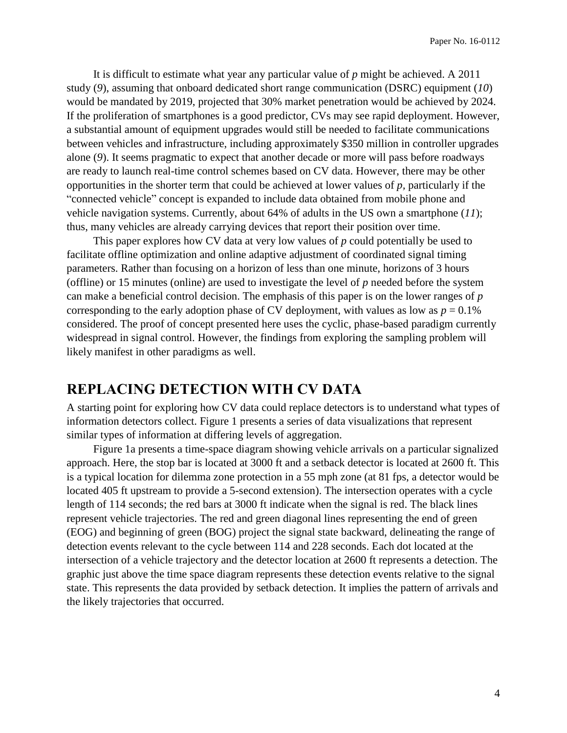It is difficult to estimate what year any particular value of *p* might be achieved. A 2011 study (*[9](#page-20-8)*), assuming that onboard dedicated short range communication (DSRC) equipment (*[10](#page-20-9)*) would be mandated by 2019, projected that 30% market penetration would be achieved by 2024. If the proliferation of smartphones is a good predictor, CVs may see rapid deployment. However, a substantial amount of equipment upgrades would still be needed to facilitate communications between vehicles and infrastructure, including approximately \$350 million in controller upgrades alone (*[9](#page-20-8)*). It seems pragmatic to expect that another decade or more will pass before roadways are ready to launch real-time control schemes based on CV data. However, there may be other opportunities in the shorter term that could be achieved at lower values of *p,* particularly if the "connected vehicle" concept is expanded to include data obtained from mobile phone and vehicle navigation systems. Currently, about 64% of adults in the US own a smartphone (*[11](#page-20-10)*); thus, many vehicles are already carrying devices that report their position over time.

This paper explores how CV data at very low values of *p* could potentially be used to facilitate offline optimization and online adaptive adjustment of coordinated signal timing parameters. Rather than focusing on a horizon of less than one minute, horizons of 3 hours (offline) or 15 minutes (online) are used to investigate the level of *p* needed before the system can make a beneficial control decision. The emphasis of this paper is on the lower ranges of *p* corresponding to the early adoption phase of CV deployment, with values as low as  $p = 0.1\%$ considered. The proof of concept presented here uses the cyclic, phase-based paradigm currently widespread in signal control. However, the findings from exploring the sampling problem will likely manifest in other paradigms as well.

### **REPLACING DETECTION WITH CV DATA**

A starting point for exploring how CV data could replace detectors is to understand what types of information detectors collect. [Figure 1](#page-5-0) presents a series of data visualizations that represent similar types of information at differing levels of aggregation.

[Figure 1a](#page-5-0) presents a time-space diagram showing vehicle arrivals on a particular signalized approach. Here, the stop bar is located at 3000 ft and a setback detector is located at 2600 ft. This is a typical location for dilemma zone protection in a 55 mph zone (at 81 fps, a detector would be located 405 ft upstream to provide a 5-second extension). The intersection operates with a cycle length of 114 seconds; the red bars at 3000 ft indicate when the signal is red. The black lines represent vehicle trajectories. The red and green diagonal lines representing the end of green (EOG) and beginning of green (BOG) project the signal state backward, delineating the range of detection events relevant to the cycle between 114 and 228 seconds. Each dot located at the intersection of a vehicle trajectory and the detector location at 2600 ft represents a detection. The graphic just above the time space diagram represents these detection events relative to the signal state. This represents the data provided by setback detection. It implies the pattern of arrivals and the likely trajectories that occurred.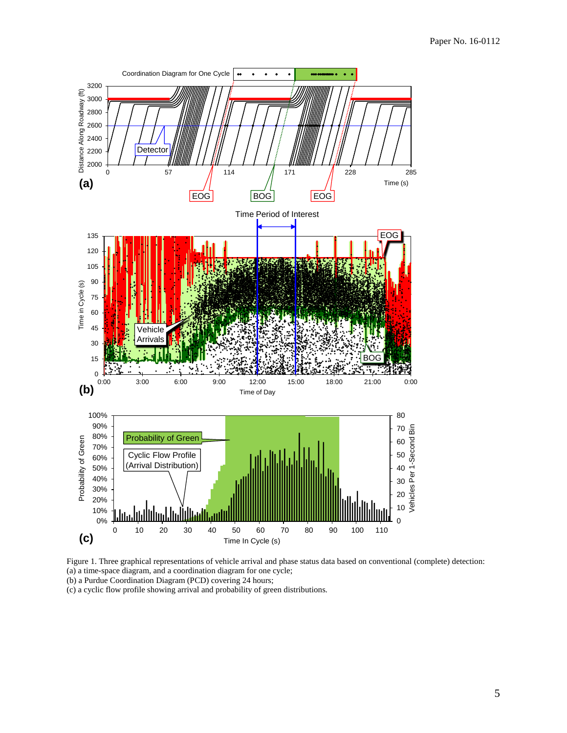

<span id="page-5-0"></span>Figure 1. Three graphical representations of vehicle arrival and phase status data based on conventional (complete) detection: (a) a time-space diagram, and a coordination diagram for one cycle;

(b) a Purdue Coordination Diagram (PCD) covering 24 hours;

(c) a cyclic flow profile showing arrival and probability of green distributions.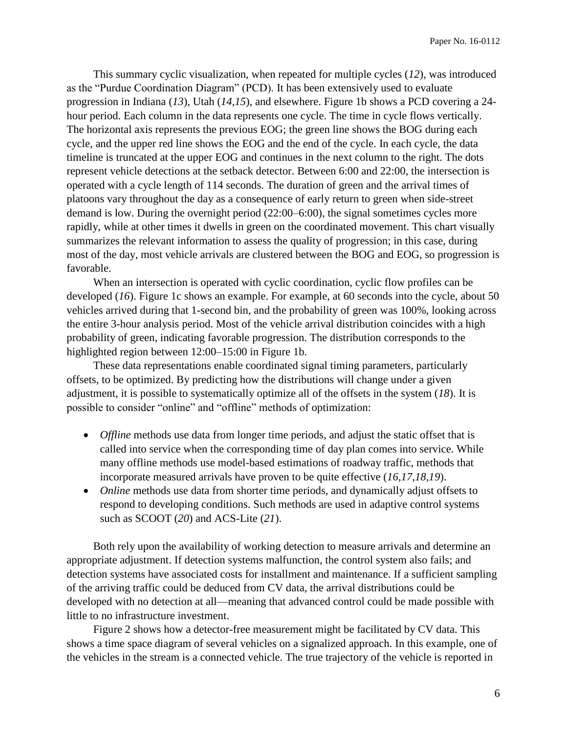This summary cyclic visualization, when repeated for multiple cycles (*[12](#page-20-11)*), was introduced as the "Purdue Coordination Diagram" (PCD). It has been extensively used to evaluate progression in Indiana (*[13](#page-20-12)*), Utah (*[14](#page-20-13)[,15](#page-20-14)*), and elsewhere. [Figure 1b](#page-5-0) shows a PCD covering a 24 hour period. Each column in the data represents one cycle. The time in cycle flows vertically. The horizontal axis represents the previous EOG; the green line shows the BOG during each cycle, and the upper red line shows the EOG and the end of the cycle. In each cycle, the data timeline is truncated at the upper EOG and continues in the next column to the right. The dots represent vehicle detections at the setback detector. Between 6:00 and 22:00, the intersection is operated with a cycle length of 114 seconds. The duration of green and the arrival times of platoons vary throughout the day as a consequence of early return to green when side-street demand is low. During the overnight period (22:00–6:00), the signal sometimes cycles more rapidly, while at other times it dwells in green on the coordinated movement. This chart visually summarizes the relevant information to assess the quality of progression; in this case, during most of the day, most vehicle arrivals are clustered between the BOG and EOG, so progression is favorable.

When an intersection is operated with cyclic coordination, cyclic flow profiles can be developed (*[16](#page-20-15)*). [Figure 1c](#page-5-0) shows an example. For example, at 60 seconds into the cycle, about 50 vehicles arrived during that 1-second bin, and the probability of green was 100%, looking across the entire 3-hour analysis period. Most of the vehicle arrival distribution coincides with a high probability of green, indicating favorable progression. The distribution corresponds to the highlighted region between 12:00–15:00 in [Figure 1b](#page-5-0).

These data representations enable coordinated signal timing parameters, particularly offsets, to be optimized. By predicting how the distributions will change under a given adjustment, it is possible to systematically optimize all of the offsets in the system (*[18](#page-20-16)*). It is possible to consider "online" and "offline" methods of optimization:

- *Offline* methods use data from longer time periods, and adjust the static offset that is called into service when the corresponding time of day plan comes into service. While many offline methods use model-based estimations of roadway traffic, methods that incorporate measured arrivals have proven to be quite effective (*[16](#page-20-15)[,17](#page-20-17)[,18](#page-20-16)[,19](#page-21-0)*).
- *Online* methods use data from shorter time periods, and dynamically adjust offsets to respond to developing conditions. Such methods are used in adaptive control systems such as SCOOT (*[20](#page-21-1)*) and ACS-Lite (*[21](#page-21-2)*).

Both rely upon the availability of working detection to measure arrivals and determine an appropriate adjustment. If detection systems malfunction, the control system also fails; and detection systems have associated costs for installment and maintenance. If a sufficient sampling of the arriving traffic could be deduced from CV data, the arrival distributions could be developed with no detection at all—meaning that advanced control could be made possible with little to no infrastructure investment.

[Figure 2](#page-7-0) shows how a detector-free measurement might be facilitated by CV data. This shows a time space diagram of several vehicles on a signalized approach. In this example, one of the vehicles in the stream is a connected vehicle. The true trajectory of the vehicle is reported in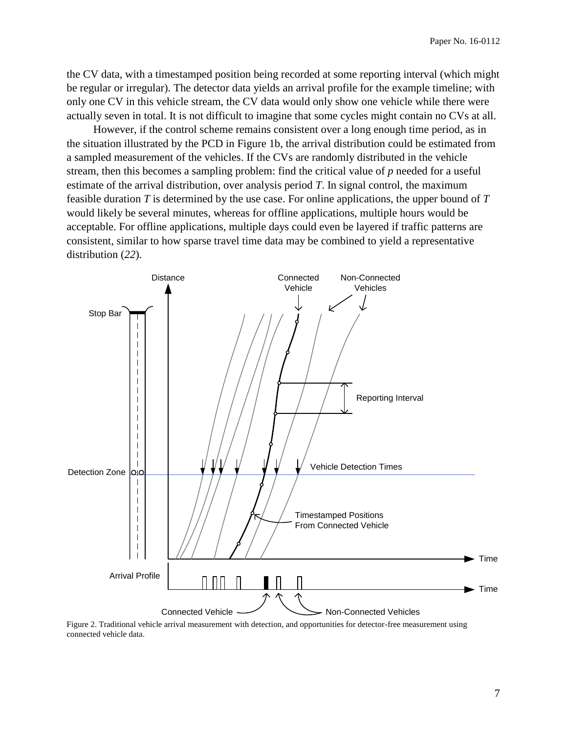the CV data, with a timestamped position being recorded at some reporting interval (which might be regular or irregular). The detector data yields an arrival profile for the example timeline; with only one CV in this vehicle stream, the CV data would only show one vehicle while there were actually seven in total. It is not difficult to imagine that some cycles might contain no CVs at all.

However, if the control scheme remains consistent over a long enough time period, as in the situation illustrated by the PCD in [Figure 1b](#page-5-0), the arrival distribution could be estimated from a sampled measurement of the vehicles. If the CVs are randomly distributed in the vehicle stream, then this becomes a sampling problem: find the critical value of *p* needed for a useful estimate of the arrival distribution, over analysis period *T*. In signal control, the maximum feasible duration *T* is determined by the use case. For online applications, the upper bound of *T* would likely be several minutes, whereas for offline applications, multiple hours would be acceptable. For offline applications, multiple days could even be layered if traffic patterns are consistent, similar to how sparse travel time data may be combined to yield a representative distribution (*[22](#page-21-3)*).



<span id="page-7-0"></span>Figure 2. Traditional vehicle arrival measurement with detection, and opportunities for detector-free measurement using connected vehicle data.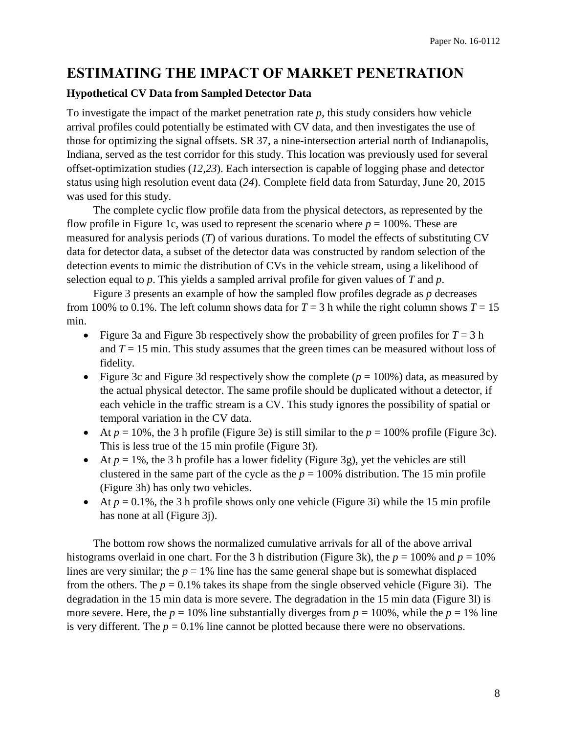### **ESTIMATING THE IMPACT OF MARKET PENETRATION**

#### **Hypothetical CV Data from Sampled Detector Data**

To investigate the impact of the market penetration rate *p*, this study considers how vehicle arrival profiles could potentially be estimated with CV data, and then investigates the use of those for optimizing the signal offsets. SR 37, a nine-intersection arterial north of Indianapolis, Indiana, served as the test corridor for this study. This location was previously used for several offset-optimization studies (*[12,](#page-20-11)[23](#page-21-4)*). Each intersection is capable of logging phase and detector status using high resolution event data (*[24](#page-21-5)*). Complete field data from Saturday, June 20, 2015 was used for this study.

The complete cyclic flow profile data from the physical detectors, as represented by the flow profile in [Figure 1c](#page-5-0), was used to represent the scenario where  $p = 100\%$ . These are measured for analysis periods (*T*) of various durations. To model the effects of substituting CV data for detector data, a subset of the detector data was constructed by random selection of the detection events to mimic the distribution of CVs in the vehicle stream, using a likelihood of selection equal to *p*. This yields a sampled arrival profile for given values of *T* and *p*.

[Figure 3](#page-9-0) presents an example of how the sampled flow profiles degrade as *p* decreases from 100% to 0.1%. The left column shows data for  $T = 3$  h while the right column shows  $T = 15$ min.

- [Figure 3a](#page-9-0) and [Figure 3b](#page-9-0) respectively show the probability of green profiles for  $T = 3$  h and *T* = 15 min. This study assumes that the green times can be measured without loss of fidelity.
- [Figure 3c](#page-9-0) and [Figure 3d](#page-9-0) respectively show the complete  $(p = 100\%)$  data, as measured by the actual physical detector. The same profile should be duplicated without a detector, if each vehicle in the traffic stream is a CV. This study ignores the possibility of spatial or temporal variation in the CV data.
- At  $p = 10\%$ , the 3 h profile [\(Figure 3e](#page-9-0)) is still similar to the  $p = 100\%$  profile [\(Figure 3c](#page-9-0)). This is less true of the 15 min profile [\(Figure 3f](#page-9-0)).
- At  $p = 1\%$ , the 3 h profile has a lower fidelity [\(Figure 3g](#page-9-0)), yet the vehicles are still clustered in the same part of the cycle as the  $p = 100\%$  distribution. The 15 min profile [\(Figure 3h](#page-9-0)) has only two vehicles.
- At  $p = 0.1\%$ , the 3 h profile shows only one vehicle [\(Figure 3i](#page-9-0)) while the 15 min profile has none at all (Figure 3*j*).

The bottom row shows the normalized cumulative arrivals for all of the above arrival histograms overlaid in one chart. For the 3 h distribution [\(Figure 3k](#page-9-0)), the  $p = 100\%$  and  $p = 10\%$ lines are very similar; the  $p = 1\%$  line has the same general shape but is somewhat displaced from the others. The  $p = 0.1\%$  takes its shape from the single observed vehicle [\(Figure 3i](#page-9-0)). The degradation in the 15 min data is more severe. The degradation in the 15 min data [\(Figure 3l](#page-9-0)) is more severe. Here, the  $p = 10\%$  line substantially diverges from  $p = 100\%$ , while the  $p = 1\%$  line is very different. The  $p = 0.1\%$  line cannot be plotted because there were no observations.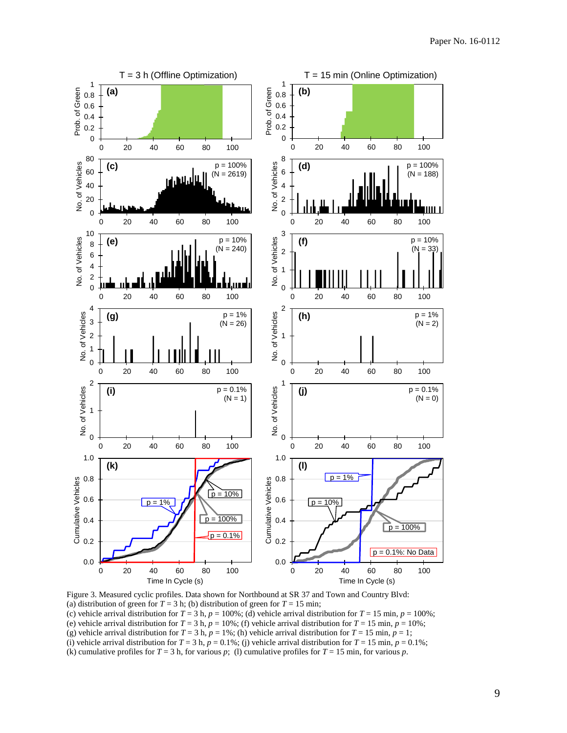

<span id="page-9-0"></span>Figure 3. Measured cyclic profiles. Data shown for Northbound at SR 37 and Town and Country Blvd: (a) distribution of green for  $T = 3$  h; (b) distribution of green for  $T = 15$  min; (c) vehicle arrival distribution for  $T = 3$  h,  $p = 100\%$ ; (d) vehicle arrival distribution for  $T = 15$  min,  $p = 100\%$ ; (e) vehicle arrival distribution for  $T = 3$  h,  $p = 10\%$ ; (f) vehicle arrival distribution for  $T = 15$  min,  $p = 10\%$ ; (g) vehicle arrival distribution for  $T = 3$  h,  $p = 1\%$ ; (h) vehicle arrival distribution for  $T = 15$  min,  $p = 1$ ; (i) vehicle arrival distribution for  $T = 3$  h,  $p = 0.1\%$ ; (j) vehicle arrival distribution for  $T = 15$  min,  $p = 0.1\%$ ; (k) cumulative profiles for  $T = 3$  h, for various *p*; (1) cumulative profiles for  $T = 15$  min, for various *p*.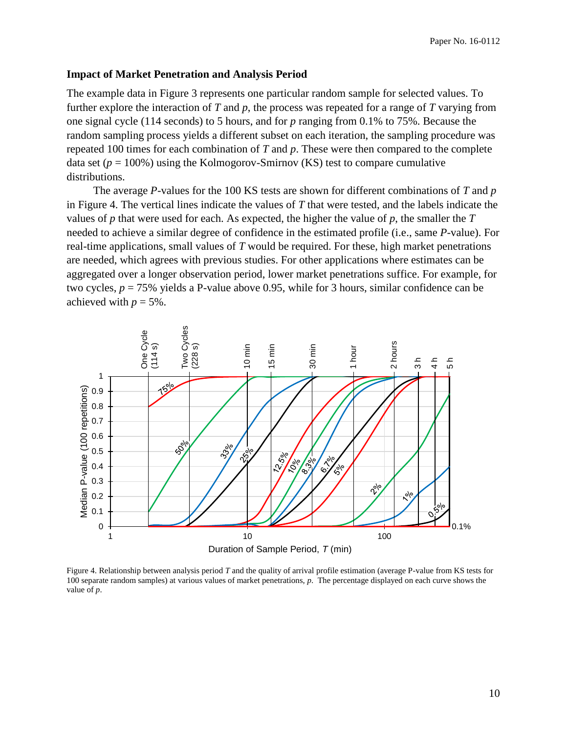#### **Impact of Market Penetration and Analysis Period**

The example data in [Figure 3](#page-9-0) represents one particular random sample for selected values. To further explore the interaction of *T* and *p*, the process was repeated for a range of *T* varying from one signal cycle (114 seconds) to 5 hours, and for *p* ranging from 0.1% to 75%. Because the random sampling process yields a different subset on each iteration, the sampling procedure was repeated 100 times for each combination of *T* and *p*. These were then compared to the complete data set  $(p = 100\%)$  using the Kolmogorov-Smirnov (KS) test to compare cumulative distributions.

The average *P*-values for the 100 KS tests are shown for different combinations of *T* and *p* in [Figure 4.](#page-10-0) The vertical lines indicate the values of *T* that were tested, and the labels indicate the values of *p* that were used for each. As expected, the higher the value of *p*, the smaller the *T* needed to achieve a similar degree of confidence in the estimated profile (i.e., same *P*-value). For real-time applications, small values of *T* would be required. For these, high market penetrations are needed, which agrees with previous studies. For other applications where estimates can be aggregated over a longer observation period, lower market penetrations suffice. For example, for two cycles, *p* = 75% yields a P-value above 0.95, while for 3 hours, similar confidence can be achieved with  $p = 5\%$ .



<span id="page-10-0"></span>Figure 4. Relationship between analysis period *T* and the quality of arrival profile estimation (average P-value from KS tests for 100 separate random samples) at various values of market penetrations, *p*. The percentage displayed on each curve shows the value of *p*.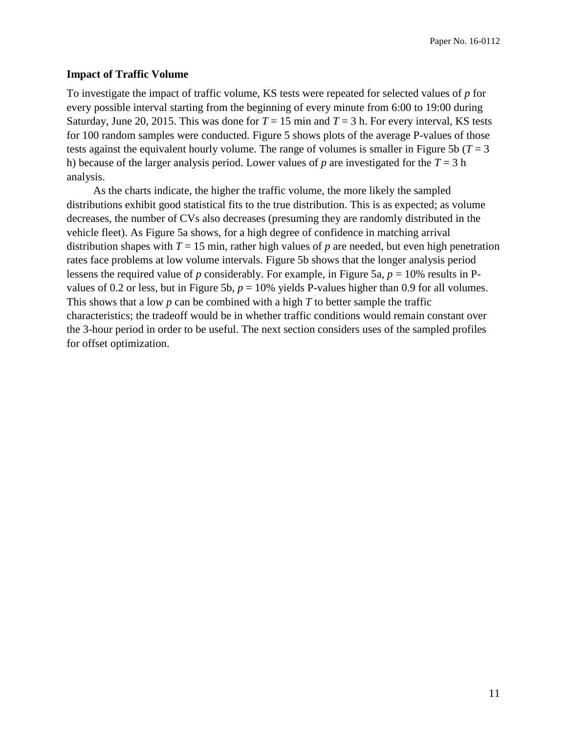#### **Impact of Traffic Volume**

To investigate the impact of traffic volume, KS tests were repeated for selected values of *p* for every possible interval starting from the beginning of every minute from 6:00 to 19:00 during Saturday, June 20, 2015. This was done for  $T = 15$  min and  $T = 3$  h. For every interval, KS tests for 100 random samples were conducted. [Figure 5](#page-12-0) shows plots of the average P-values of those tests against the equivalent hourly volume. The range of volumes is smaller in [Figure 5b](#page-12-0) ( $T = 3$ ) h) because of the larger analysis period. Lower values of  $p$  are investigated for the  $T = 3$  h analysis.

As the charts indicate, the higher the traffic volume, the more likely the sampled distributions exhibit good statistical fits to the true distribution. This is as expected; as volume decreases, the number of CVs also decreases (presuming they are randomly distributed in the vehicle fleet). As [Figure 5a](#page-12-0) shows, for a high degree of confidence in matching arrival distribution shapes with  $T = 15$  min, rather high values of  $p$  are needed, but even high penetration rates face problems at low volume intervals. [Figure 5b](#page-12-0) shows that the longer analysis period lessens the required value of *p* considerably. For example, in [Figure 5a](#page-12-0), *p* = 10% results in P-values of 0.2 or less, but in [Figure 5b](#page-12-0),  $p = 10\%$  yields P-values higher than 0.9 for all volumes. This shows that a low *p* can be combined with a high *T* to better sample the traffic characteristics; the tradeoff would be in whether traffic conditions would remain constant over the 3-hour period in order to be useful. The next section considers uses of the sampled profiles for offset optimization.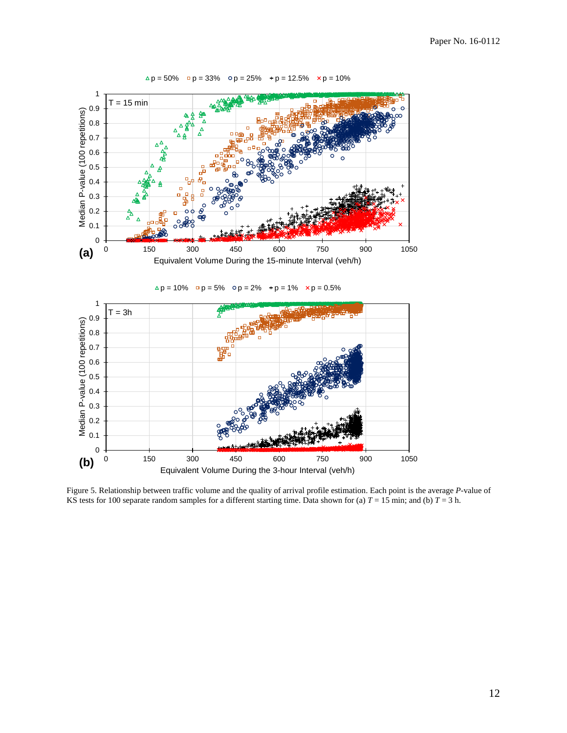

 $\Delta p = 50\%$  p = 33% o p = 25% + p = 12.5% x p = 10%

<span id="page-12-0"></span>Figure 5. Relationship between traffic volume and the quality of arrival profile estimation. Each point is the average *P*-value of KS tests for 100 separate random samples for a different starting time. Data shown for (a)  $T = 15$  min; and (b)  $T = 3$  h.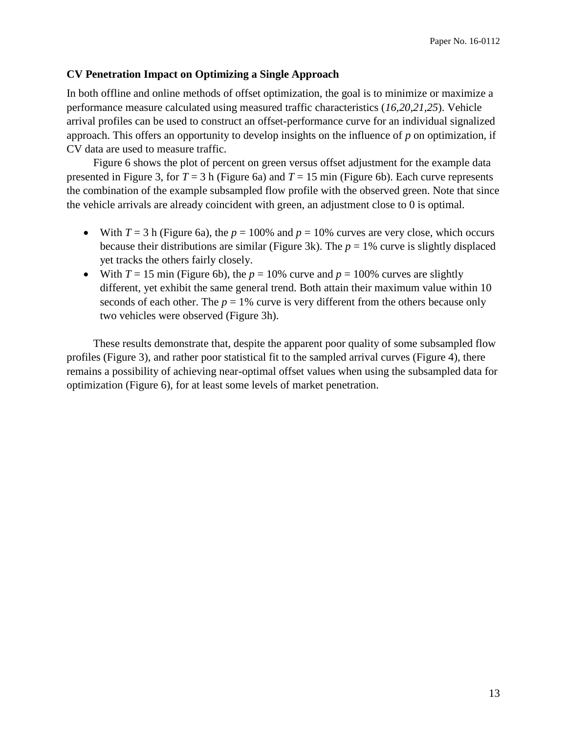#### **CV Penetration Impact on Optimizing a Single Approach**

In both offline and online methods of offset optimization, the goal is to minimize or maximize a performance measure calculated using measured traffic characteristics (*[16](#page-20-15)[,20](#page-21-1)[,21](#page-21-2)[,25](#page-21-6)*). Vehicle arrival profiles can be used to construct an offset-performance curve for an individual signalized approach. This offers an opportunity to develop insights on the influence of *p* on optimization, if CV data are used to measure traffic.

[Figure 6](#page-14-0) shows the plot of percent on green versus offset adjustment for the example data presented in [Figure 3,](#page-9-0) for  $T = 3$  h [\(Figure 6a](#page-14-0)) and  $T = 15$  min [\(Figure 6b](#page-14-0)). Each curve represents the combination of the example subsampled flow profile with the observed green. Note that since the vehicle arrivals are already coincident with green, an adjustment close to 0 is optimal.

- With  $T = 3$  h [\(Figure 6a](#page-14-0)), the  $p = 100\%$  and  $p = 10\%$  curves are very close, which occurs because their distributions are similar [\(Figure 3k](#page-9-0)). The  $p = 1\%$  curve is slightly displaced yet tracks the others fairly closely.
- With  $T = 15$  min [\(Figure 6b](#page-14-0)), the  $p = 10%$  curve and  $p = 100%$  curves are slightly different, yet exhibit the same general trend. Both attain their maximum value within 10 seconds of each other. The  $p = 1\%$  curve is very different from the others because only two vehicles were observed [\(Figure 3h](#page-9-0)).

These results demonstrate that, despite the apparent poor quality of some subsampled flow profiles [\(Figure 3\)](#page-9-0), and rather poor statistical fit to the sampled arrival curves [\(Figure 4\)](#page-10-0), there remains a possibility of achieving near-optimal offset values when using the subsampled data for optimization [\(Figure 6\)](#page-14-0), for at least some levels of market penetration.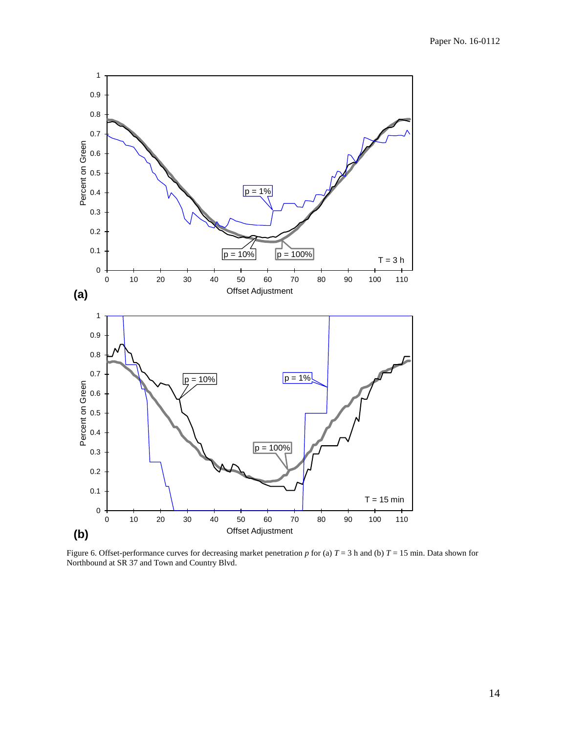

<span id="page-14-0"></span>Figure 6. Offset-performance curves for decreasing market penetration  $p$  for (a)  $T = 3$  h and (b)  $T = 15$  min. Data shown for Northbound at SR 37 and Town and Country Blvd.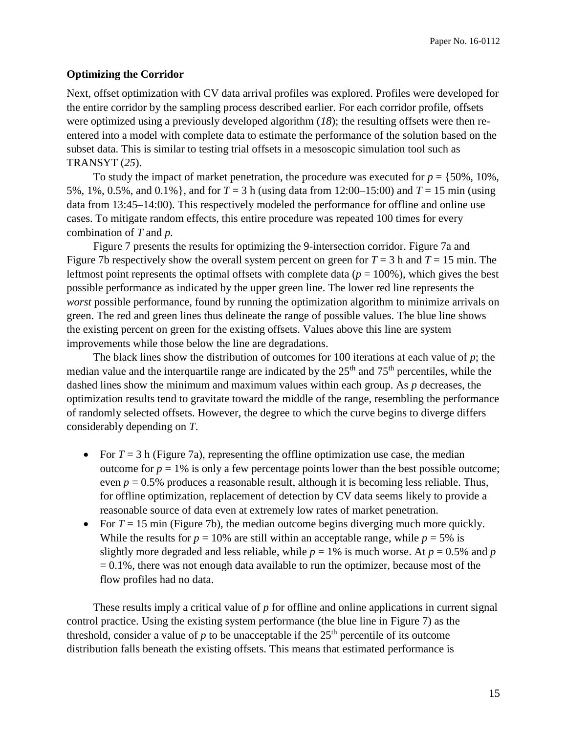#### **Optimizing the Corridor**

Next, offset optimization with CV data arrival profiles was explored. Profiles were developed for the entire corridor by the sampling process described earlier. For each corridor profile, offsets were optimized using a previously developed algorithm (*[18](#page-20-16)*); the resulting offsets were then reentered into a model with complete data to estimate the performance of the solution based on the subset data. This is similar to testing trial offsets in a mesoscopic simulation tool such as TRANSYT (*[25](#page-21-6)*).

To study the impact of market penetration, the procedure was executed for  $p = \{50\%, 10\%, \ldots\}$ 5%, 1%, 0.5%, and 0.1%}, and for *T* = 3 h (using data from 12:00–15:00) and *T* = 15 min (using data from 13:45–14:00). This respectively modeled the performance for offline and online use cases. To mitigate random effects, this entire procedure was repeated 100 times for every combination of *T* and *p.*

[Figure 7](#page-16-0) presents the results for optimizing the 9-intersection corridor. [Figure 7a](#page-16-0) and [Figure 7b](#page-16-0) respectively show the overall system percent on green for  $T = 3$  h and  $T = 15$  min. The leftmost point represents the optimal offsets with complete data ( $p = 100\%$ ), which gives the best possible performance as indicated by the upper green line. The lower red line represents the *worst* possible performance, found by running the optimization algorithm to minimize arrivals on green. The red and green lines thus delineate the range of possible values. The blue line shows the existing percent on green for the existing offsets. Values above this line are system improvements while those below the line are degradations.

The black lines show the distribution of outcomes for 100 iterations at each value of *p*; the median value and the interquartile range are indicated by the  $25<sup>th</sup>$  and  $75<sup>th</sup>$  percentiles, while the dashed lines show the minimum and maximum values within each group. As *p* decreases, the optimization results tend to gravitate toward the middle of the range, resembling the performance of randomly selected offsets. However, the degree to which the curve begins to diverge differs considerably depending on *T*.

- For  $T = 3$  h [\(Figure 7a](#page-16-0)), representing the offline optimization use case, the median outcome for  $p = 1\%$  is only a few percentage points lower than the best possible outcome; even  $p = 0.5\%$  produces a reasonable result, although it is becoming less reliable. Thus, for offline optimization, replacement of detection by CV data seems likely to provide a reasonable source of data even at extremely low rates of market penetration.
- For  $T = 15$  min [\(Figure 7b](#page-16-0)), the median outcome begins diverging much more quickly. While the results for  $p = 10\%$  are still within an acceptable range, while  $p = 5\%$  is slightly more degraded and less reliable, while  $p = 1\%$  is much worse. At  $p = 0.5\%$  and  $p = 0.5\%$  $= 0.1\%$ , there was not enough data available to run the optimizer, because most of the flow profiles had no data.

These results imply a critical value of *p* for offline and online applications in current signal control practice. Using the existing system performance (the blue line in [Figure 7\)](#page-16-0) as the threshold, consider a value of  $p$  to be unacceptable if the  $25<sup>th</sup>$  percentile of its outcome distribution falls beneath the existing offsets. This means that estimated performance is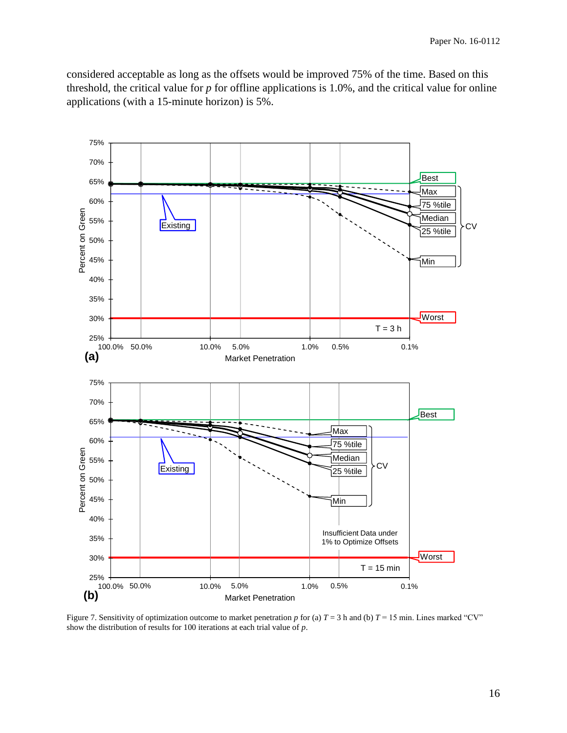considered acceptable as long as the offsets would be improved 75% of the time. Based on this threshold, the critical value for *p* for offline applications is 1.0%, and the critical value for online applications (with a 15-minute horizon) is 5%.



<span id="page-16-0"></span>Figure 7. Sensitivity of optimization outcome to market penetration  $p$  for (a)  $T = 3$  h and (b)  $T = 15$  min. Lines marked "CV" show the distribution of results for 100 iterations at each trial value of *p*.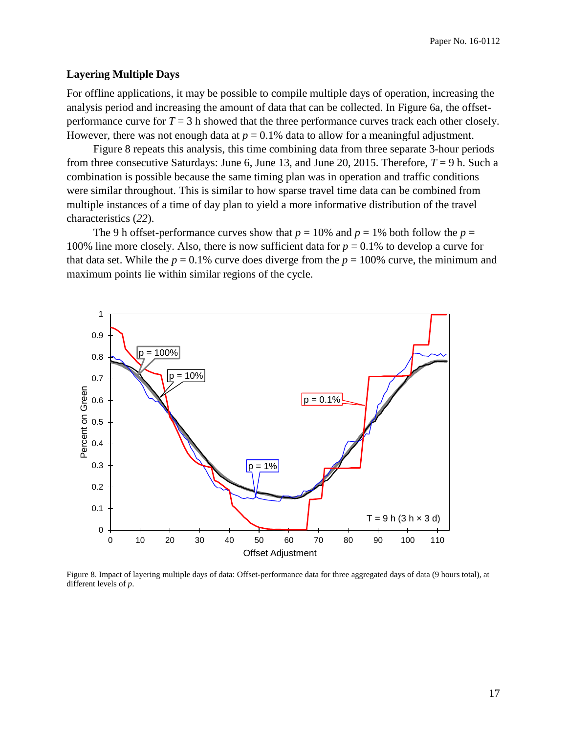#### **Layering Multiple Days**

For offline applications, it may be possible to compile multiple days of operation, increasing the analysis period and increasing the amount of data that can be collected. In [Figure 6a](#page-14-0), the offsetperformance curve for  $T = 3$  h showed that the three performance curves track each other closely. However, there was not enough data at  $p = 0.1\%$  data to allow for a meaningful adjustment.

[Figure 8](#page-17-0) repeats this analysis, this time combining data from three separate 3-hour periods from three consecutive Saturdays: June 6, June 13, and June 20, 2015. Therefore,  $T = 9$  h. Such a combination is possible because the same timing plan was in operation and traffic conditions were similar throughout. This is similar to how sparse travel time data can be combined from multiple instances of a time of day plan to yield a more informative distribution of the travel characteristics (*[22](#page-21-3)*).

The 9 h offset-performance curves show that  $p = 10\%$  and  $p = 1\%$  both follow the  $p =$ 100% line more closely. Also, there is now sufficient data for  $p = 0.1$ % to develop a curve for that data set. While the  $p = 0.1\%$  curve does diverge from the  $p = 100\%$  curve, the minimum and maximum points lie within similar regions of the cycle.



<span id="page-17-0"></span>Figure 8. Impact of layering multiple days of data: Offset-performance data for three aggregated days of data (9 hours total), at different levels of *p*.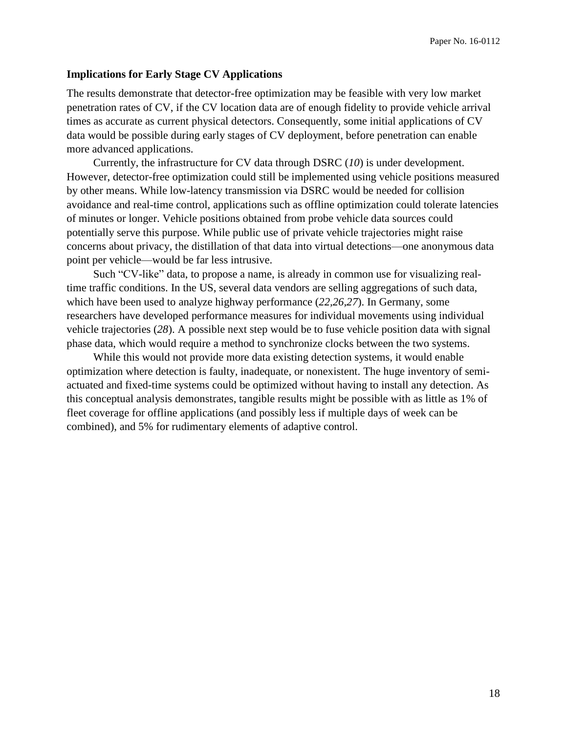#### **Implications for Early Stage CV Applications**

The results demonstrate that detector-free optimization may be feasible with very low market penetration rates of CV, if the CV location data are of enough fidelity to provide vehicle arrival times as accurate as current physical detectors. Consequently, some initial applications of CV data would be possible during early stages of CV deployment, before penetration can enable more advanced applications.

Currently, the infrastructure for CV data through DSRC (*[10](#page-20-9)*) is under development. However, detector-free optimization could still be implemented using vehicle positions measured by other means. While low-latency transmission via DSRC would be needed for collision avoidance and real-time control, applications such as offline optimization could tolerate latencies of minutes or longer. Vehicle positions obtained from probe vehicle data sources could potentially serve this purpose. While public use of private vehicle trajectories might raise concerns about privacy, the distillation of that data into virtual detections—one anonymous data point per vehicle—would be far less intrusive.

Such "CV-like" data, to propose a name, is already in common use for visualizing realtime traffic conditions. In the US, several data vendors are selling aggregations of such data, which have been used to analyze highway performance (*[22,](#page-21-3)[26,](#page-21-7)[27](#page-21-8)*). In Germany, some researchers have developed performance measures for individual movements using individual vehicle trajectories (*[28](#page-21-9)*). A possible next step would be to fuse vehicle position data with signal phase data, which would require a method to synchronize clocks between the two systems.

While this would not provide more data existing detection systems, it would enable optimization where detection is faulty, inadequate, or nonexistent. The huge inventory of semiactuated and fixed-time systems could be optimized without having to install any detection. As this conceptual analysis demonstrates, tangible results might be possible with as little as 1% of fleet coverage for offline applications (and possibly less if multiple days of week can be combined), and 5% for rudimentary elements of adaptive control.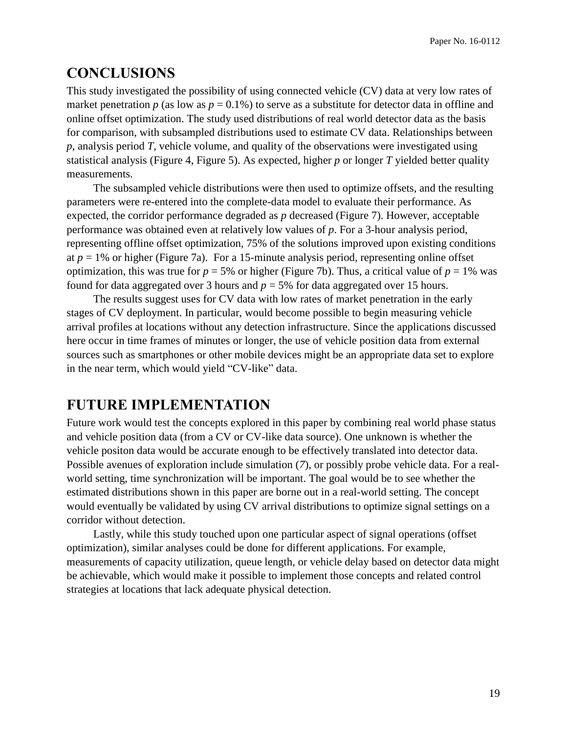# **CONCLUSIONS**

This study investigated the possibility of using connected vehicle (CV) data at very low rates of market penetration  $p$  (as low as  $p = 0.1\%$ ) to serve as a substitute for detector data in offline and online offset optimization. The study used distributions of real world detector data as the basis for comparison, with subsampled distributions used to estimate CV data. Relationships between *p*, analysis period *T*, vehicle volume, and quality of the observations were investigated using statistical analysis [\(Figure 4,](#page-10-0) [Figure 5\)](#page-12-0). As expected, higher *p* or longer *T* yielded better quality measurements.

The subsampled vehicle distributions were then used to optimize offsets, and the resulting parameters were re-entered into the complete-data model to evaluate their performance. As expected, the corridor performance degraded as *p* decreased [\(Figure 7\)](#page-16-0). However, acceptable performance was obtained even at relatively low values of *p*. For a 3-hour analysis period, representing offline offset optimization, 75% of the solutions improved upon existing conditions at  $p = 1\%$  or higher [\(Figure 7a](#page-16-0)). For a 15-minute analysis period, representing online offset optimization, this was true for  $p = 5%$  or higher [\(Figure 7b](#page-16-0)). Thus, a critical value of  $p = 1%$  was found for data aggregated over 3 hours and  $p = 5\%$  for data aggregated over 15 hours.

The results suggest uses for CV data with low rates of market penetration in the early stages of CV deployment. In particular, would become possible to begin measuring vehicle arrival profiles at locations without any detection infrastructure. Since the applications discussed here occur in time frames of minutes or longer, the use of vehicle position data from external sources such as smartphones or other mobile devices might be an appropriate data set to explore in the near term, which would yield "CV-like" data.

## **FUTURE IMPLEMENTATION**

Future work would test the concepts explored in this paper by combining real world phase status and vehicle position data (from a CV or CV-like data source). One unknown is whether the vehicle positon data would be accurate enough to be effectively translated into detector data. Possible avenues of exploration include simulation (*[7](#page-20-7)*), or possibly probe vehicle data. For a realworld setting, time synchronization will be important. The goal would be to see whether the estimated distributions shown in this paper are borne out in a real-world setting. The concept would eventually be validated by using CV arrival distributions to optimize signal settings on a corridor without detection.

Lastly, while this study touched upon one particular aspect of signal operations (offset optimization), similar analyses could be done for different applications. For example, measurements of capacity utilization, queue length, or vehicle delay based on detector data might be achievable, which would make it possible to implement those concepts and related control strategies at locations that lack adequate physical detection.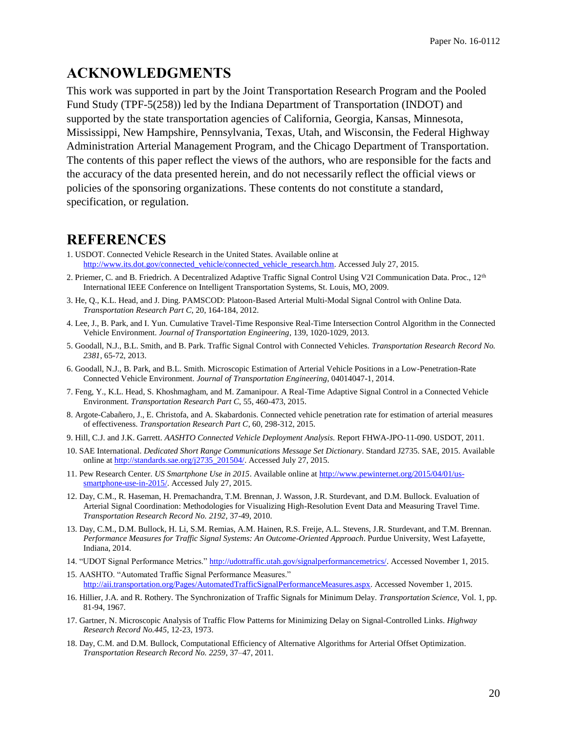# **ACKNOWLEDGMENTS**

This work was supported in part by the Joint Transportation Research Program and the Pooled Fund Study (TPF-5(258)) led by the Indiana Department of Transportation (INDOT) and supported by the state transportation agencies of California, Georgia, Kansas, Minnesota, Mississippi, New Hampshire, Pennsylvania, Texas, Utah, and Wisconsin, the Federal Highway Administration Arterial Management Program, and the Chicago Department of Transportation. The contents of this paper reflect the views of the authors, who are responsible for the facts and the accuracy of the data presented herein, and do not necessarily reflect the official views or policies of the sponsoring organizations. These contents do not constitute a standard, specification, or regulation.

# **REFERENCES**

- <span id="page-20-0"></span>1. USDOT. Connected Vehicle Research in the United States. Available online at [http://www.its.dot.gov/connected\\_vehicle/connected\\_vehicle\\_research.htm.](http://www.its.dot.gov/connected_vehicle/connected_vehicle_research.htm) Accessed July 27, 2015.
- <span id="page-20-1"></span>2. Priemer, C. and B. Friedrich. A Decentralized Adaptive Traffic Signal Control Using V2I Communication Data. Proc., 12<sup>th</sup> International IEEE Conference on Intelligent Transportation Systems, St. Louis, MO, 2009.
- <span id="page-20-3"></span>3. He, Q., K.L. Head, and J. Ding. PAMSCOD: Platoon-Based Arterial Multi-Modal Signal Control with Online Data. *Transportation Research Part C*, 20, 164-184, 2012.
- <span id="page-20-4"></span>4. Lee, J., B. Park, and I. Yun. Cumulative Travel-Time Responsive Real-Time Intersection Control Algorithm in the Connected Vehicle Environment. *Journal of Transportation Engineering*, 139, 1020-1029, 2013.
- <span id="page-20-5"></span>5. Goodall, N.J., B.L. Smith, and B. Park. Traffic Signal Control with Connected Vehicles. *Transportation Research Record No. 2381*, 65-72, 2013.
- <span id="page-20-6"></span>6. Goodall, N.J., B. Park, and B.L. Smith. Microscopic Estimation of Arterial Vehicle Positions in a Low-Penetration-Rate Connected Vehicle Environment. *Journal of Transportation Engineering*, 04014047-1, 2014.
- <span id="page-20-7"></span>7. Feng, Y., K.L. Head, S. Khoshmagham, and M. Zamanipour. A Real-Time Adaptive Signal Control in a Connected Vehicle Environment. *Transportation Research Part C*, 55, 460-473, 2015.
- <span id="page-20-2"></span>8. Argote-Cabañero, J., E. Christofa, and A. Skabardonis. Connected vehicle penetration rate for estimation of arterial measures of effectiveness. *Transportation Research Part C*, 60, 298-312, 2015.
- <span id="page-20-8"></span>9. Hill, C.J. and J.K. Garrett. *AASHTO Connected Vehicle Deployment Analysis.* Report FHWA-JPO-11-090. USDOT, 2011.
- <span id="page-20-9"></span>10. SAE International. *Dedicated Short Range Communications Message Set Dictionary*. Standard J2735. SAE, 2015. Available online a[t http://standards.sae.org/j2735\\_201504/.](http://standards.sae.org/j2735_201504/) Accessed July 27, 2015.
- <span id="page-20-10"></span>11. Pew Research Center. *US Smartphone Use in 2015*. Available online a[t http://www.pewinternet.org/2015/04/01/us](http://www.pewinternet.org/2015/04/01/us-smartphone-use-in-2015/)[smartphone-use-in-2015/.](http://www.pewinternet.org/2015/04/01/us-smartphone-use-in-2015/) Accessed July 27, 2015.
- <span id="page-20-11"></span>12. Day, C.M., R. Haseman, H. Premachandra, T.M. Brennan, J. Wasson, J.R. Sturdevant, and D.M. Bullock. Evaluation of Arterial Signal Coordination: Methodologies for Visualizing High-Resolution Event Data and Measuring Travel Time. *Transportation Research Record No. 2192,* 37-49, 2010.
- <span id="page-20-12"></span>13. Day, C.M., D.M. Bullock, H. Li, S.M. Remias, A.M. Hainen, R.S. Freije, A.L. Stevens, J.R. Sturdevant, and T.M. Brennan. *Performance Measures for Traffic Signal Systems: An Outcome-Oriented Approach*. Purdue University, West Lafayette, Indiana, 2014.
- <span id="page-20-13"></span>14. "UDOT Signal Performance Metrics." [http://udottraffic.utah.gov/signalperformancemetrics/.](http://udottraffic.utah.gov/signalperformancemetrics/) Accessed November 1, 2015.
- <span id="page-20-14"></span>15. AASHTO. "Automated Traffic Signal Performance Measures." [http://aii.transportation.org/Pages/AutomatedTrafficSignalPerformanceMeasures.aspx.](http://aii.transportation.org/Pages/AutomatedTrafficSignalPerformanceMeasures.aspx) Accessed November 1, 2015.
- <span id="page-20-15"></span>16. Hillier, J.A. and R. Rothery. The Synchronization of Traffic Signals for Minimum Delay. *Transportation Science*, Vol. 1, pp. 81-94, 1967.
- <span id="page-20-17"></span>17. Gartner, N. Microscopic Analysis of Traffic Flow Patterns for Minimizing Delay on Signal-Controlled Links. *Highway Research Record No.445*, 12-23, 1973.
- <span id="page-20-16"></span>18. Day, C.M. and D.M. Bullock, Computational Efficiency of Alternative Algorithms for Arterial Offset Optimization. *Transportation Research Record No. 2259*, 37–47, 2011.